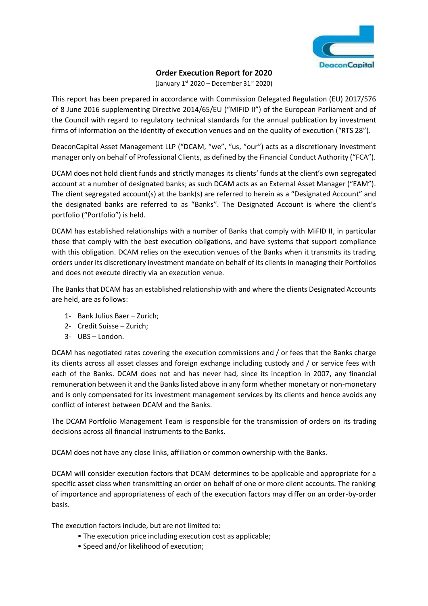

# **Order Execution Report for 2020**

(January  $1<sup>st</sup> 2020$  – December 31 $<sup>st</sup> 2020$ )</sup>

This report has been prepared in accordance with Commission Delegated Regulation (EU) 2017/576 of 8 June 2016 supplementing Directive 2014/65/EU ("MIFID II") of the European Parliament and of the Council with regard to regulatory technical standards for the annual publication by investment firms of information on the identity of execution venues and on the quality of execution ("RTS 28").

DeaconCapital Asset Management LLP ("DCAM, "we", "us, "our") acts as a discretionary investment manager only on behalf of Professional Clients, as defined by the Financial Conduct Authority ("FCA").

DCAM does not hold client funds and strictly manages its clients' funds at the client's own segregated account at a number of designated banks; as such DCAM acts as an External Asset Manager ("EAM"). The client segregated account(s) at the bank(s) are referred to herein as a "Designated Account" and the designated banks are referred to as "Banks". The Designated Account is where the client's portfolio ("Portfolio") is held.

DCAM has established relationships with a number of Banks that comply with MiFID II, in particular those that comply with the best execution obligations, and have systems that support compliance with this obligation. DCAM relies on the execution venues of the Banks when it transmits its trading orders under its discretionary investment mandate on behalf of its clients in managing their Portfolios and does not execute directly via an execution venue.

The Banks that DCAM has an established relationship with and where the clients Designated Accounts are held, are as follows:

- 1- Bank Julius Baer Zurich;
- 2- Credit Suisse Zurich;
- 3- UBS London.

DCAM has negotiated rates covering the execution commissions and / or fees that the Banks charge its clients across all asset classes and foreign exchange including custody and / or service fees with each of the Banks. DCAM does not and has never had, since its inception in 2007, any financial remuneration between it and the Banks listed above in any form whether monetary or non-monetary and is only compensated for its investment management services by its clients and hence avoids any conflict of interest between DCAM and the Banks.

The DCAM Portfolio Management Team is responsible for the transmission of orders on its trading decisions across all financial instruments to the Banks.

DCAM does not have any close links, affiliation or common ownership with the Banks.

DCAM will consider execution factors that DCAM determines to be applicable and appropriate for a specific asset class when transmitting an order on behalf of one or more client accounts. The ranking of importance and appropriateness of each of the execution factors may differ on an order-by-order basis.

The execution factors include, but are not limited to:

- The execution price including execution cost as applicable;
- Speed and/or likelihood of execution;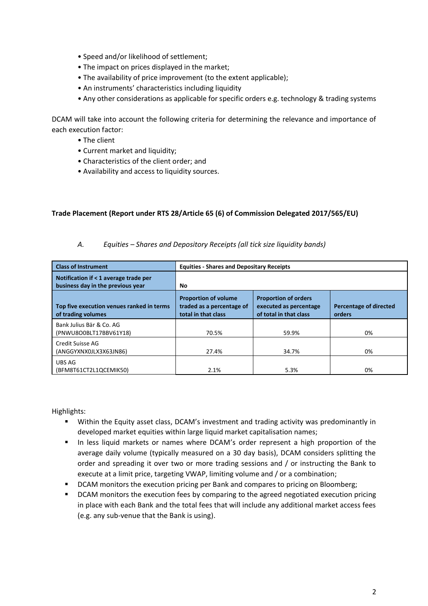- Speed and/or likelihood of settlement;
- The impact on prices displayed in the market;
- The availability of price improvement (to the extent applicable);
- An instruments' characteristics including liquidity
- Any other considerations as applicable for specific orders e.g. technology & trading systems

DCAM will take into account the following criteria for determining the relevance and importance of each execution factor:

- The client
- Current market and liquidity;
- Characteristics of the client order; and
- Availability and access to liquidity sources.

### **Trade Placement (Report under RTS 28/Article 65 (6) of Commission Delegated 2017/565/EU)**

| <b>Class of Instrument</b>                                                 | <b>Equities - Shares and Depositary Receipts</b>                                |                                                                                 |                                  |
|----------------------------------------------------------------------------|---------------------------------------------------------------------------------|---------------------------------------------------------------------------------|----------------------------------|
| Notification if < 1 average trade per<br>business day in the previous year | No.                                                                             |                                                                                 |                                  |
| Top five execution venues ranked in terms<br>of trading volumes            | <b>Proportion of volume</b><br>traded as a percentage of<br>total in that class | <b>Proportion of orders</b><br>executed as percentage<br>of total in that class | Percentage of directed<br>orders |
| Bank Julius Bär & Co. AG<br>(PNWU8O0BLT17BBV61Y18)                         | 70.5%                                                                           | 59.9%                                                                           | 0%                               |
| Credit Suisse AG<br>(ANGGYXNX0JLX3X63JN86)                                 | 27.4%                                                                           | 34.7%                                                                           | 0%                               |
| UBS AG<br>(BFM8T61CT2L1QCEMIK50)                                           | 2.1%                                                                            | 5.3%                                                                            | 0%                               |

*A. Equities – Shares and Depository Receipts (all tick size liquidity bands)*

Highlights:

- Within the Equity asset class, DCAM's investment and trading activity was predominantly in developed market equities within large liquid market capitalisation names;
- In less liquid markets or names where DCAM's order represent a high proportion of the average daily volume (typically measured on a 30 day basis), DCAM considers splitting the order and spreading it over two or more trading sessions and / or instructing the Bank to execute at a limit price, targeting VWAP, limiting volume and / or a combination;
- DCAM monitors the execution pricing per Bank and compares to pricing on Bloomberg;
- **•** DCAM monitors the execution fees by comparing to the agreed negotiated execution pricing in place with each Bank and the total fees that will include any additional market access fees (e.g. any sub-venue that the Bank is using).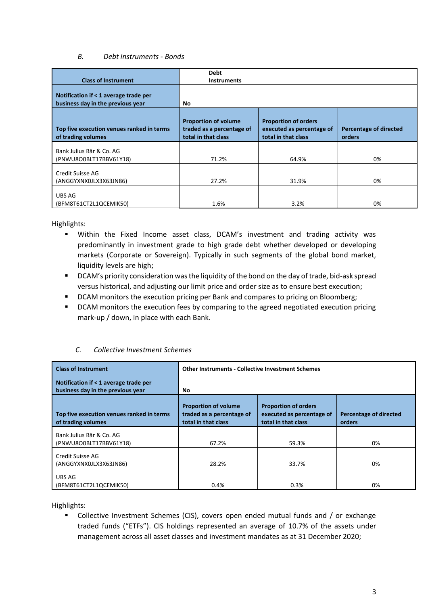#### *B. Debt instruments - Bonds*

|                                                                            | <b>Debt</b>                                                                     |                                                                                 |                                         |
|----------------------------------------------------------------------------|---------------------------------------------------------------------------------|---------------------------------------------------------------------------------|-----------------------------------------|
| <b>Class of Instrument</b>                                                 | <b>Instruments</b>                                                              |                                                                                 |                                         |
| Notification if < 1 average trade per<br>business day in the previous year | No.                                                                             |                                                                                 |                                         |
| Top five execution venues ranked in terms<br>of trading volumes            | <b>Proportion of volume</b><br>traded as a percentage of<br>total in that class | <b>Proportion of orders</b><br>executed as percentage of<br>total in that class | <b>Percentage of directed</b><br>orders |
| Bank Julius Bär & Co. AG<br>(PNWU8O0BLT17BBV61Y18)                         | 71.2%                                                                           | 64.9%                                                                           | 0%                                      |
| Credit Suisse AG<br>(ANGGYXNX0JLX3X63JN86)                                 | 27.2%                                                                           | 31.9%                                                                           | 0%                                      |
| UBS AG<br>(BFM8T61CT2L1QCEMIK50)                                           | 1.6%                                                                            | 3.2%                                                                            | 0%                                      |

Highlights:

- Within the Fixed Income asset class, DCAM's investment and trading activity was predominantly in investment grade to high grade debt whether developed or developing markets (Corporate or Sovereign). Typically in such segments of the global bond market, liquidity levels are high;
- **DCAM's priority consideration was the liquidity of the bond on the day of trade, bid-ask spread** versus historical, and adjusting our limit price and order size as to ensure best execution;
- **DCAM** monitors the execution pricing per Bank and compares to pricing on Bloomberg;
- **•** DCAM monitors the execution fees by comparing to the agreed negotiated execution pricing mark-up / down, in place with each Bank.

### *C. Collective Investment Schemes*

| <b>Class of Instrument</b>                                                 | <b>Other Instruments - Collective Investment Schemes</b>                        |                                                                                 |                                                |
|----------------------------------------------------------------------------|---------------------------------------------------------------------------------|---------------------------------------------------------------------------------|------------------------------------------------|
| Notification if < 1 average trade per<br>business day in the previous year | No                                                                              |                                                                                 |                                                |
| Top five execution venues ranked in terms<br>of trading volumes            | <b>Proportion of volume</b><br>traded as a percentage of<br>total in that class | <b>Proportion of orders</b><br>executed as percentage of<br>total in that class | <b>Percentage of directed</b><br><b>orders</b> |
| Bank Julius Bär & Co. AG<br>(PNWU8O0BLT17BBV61Y18)                         | 67.2%                                                                           | 59.3%                                                                           | 0%                                             |
| Credit Suisse AG<br>(ANGGYXNX0JLX3X63JN86)                                 | 28.2%                                                                           | 33.7%                                                                           | 0%                                             |
| UBS AG<br>(BFM8T61CT2L1QCEMIK50)                                           | 0.4%                                                                            | 0.3%                                                                            | 0%                                             |

Highlights:

 Collective Investment Schemes (CIS), covers open ended mutual funds and / or exchange traded funds ("ETFs"). CIS holdings represented an average of 10.7% of the assets under management across all asset classes and investment mandates as at 31 December 2020;